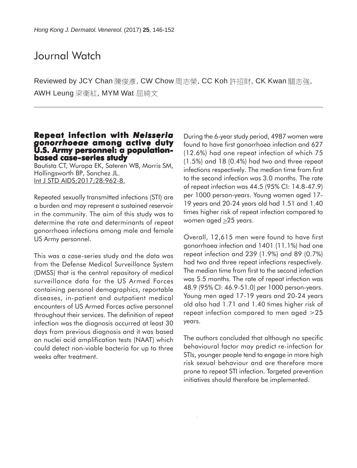# Journal Watch

Reviewed by JCY Chan 陳俊彥, CW Chow 周志榮, CC Koh 許招財, CK Kwan 關志強, AWH Leung 梁衛紅, MYM Wat 屈綺文

## **Repeat infection with Neisseria** *gonorrhoeae* **among active duty U.S. Army personnel: a populationbased case-series study**

Bautista CT, Wurapa EK, Sateren WB, Morris SM, Hollingsworth BP, Sanchez JL. Int J STD AIDS;2017;28:962-8.

Repeated sexually transmitted infections (STI) are a burden and may represent a sustained reservoir in the community. The aim of this study was to determine the rate and determinants of repeat gonorrhoea infections among male and female US Army personnel.

This was a case-series study and the data was from the Defense Medical Surveillance System (DMSS) that is the central repository of medical surveillance data for the US Armed Forces containing personal demographics, reportable diseases, in-patient and outpatient medical encounters of US Armed Forces active personnel throughout their services. The definition of repeat infection was the diagnosis occurred at least 30 days from previous diagnosis and it was based on nuclei acid amplification tests (NAAT) which could detect non-viable bacteria for up to three weeks after treatment.

During the 6-year study period, 4987 women were found to have first gonorrhoea infection and 627 (12.6%) had one repeat infection of which 75 (1.5%) and 18 (0.4%) had two and three repeat infections respectively. The median time from first to the second infection was 3.0 months. The rate of repeat infection was 44.5 (95% CI: 14.8-47.9) per 1000 person-years. Young women aged 17- 19 years and 20-24 years old had 1.51 and 1.40 times higher risk of repeat infection compared to women aged  $\geq$ 25 years.

Overall, 12,615 men were found to have first gonorrhoea infection and 1401 (11.1%) had one repeat infection and 239 (1.9%) and 89 (0.7%) had two and three repeat infections respectively. The median time from first to the second infection was 5.5 months. The rate of repeat infection was 48.9 (95% CI: 46.9-51.0) per 1000 person-years. Young men aged 17-19 years and 20-24 years old also had 1.71 and 1.40 times higher risk of repeat infection compared to men aged >25 years.

The authors concluded that although no specific behavioural factor may predict re-infection for STIs, younger people tend to engage in more high risk sexual behaviour and are therefore more prone to repeat STI infection. Targeted prevention initiatives should therefore be implemented.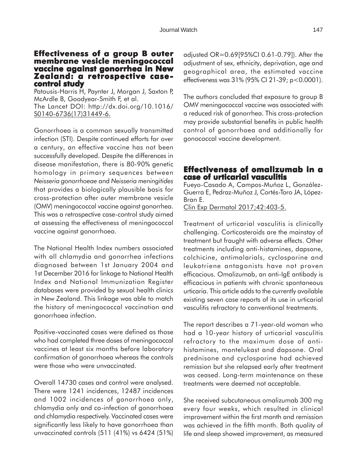## **Effectiveness of a group B outer membrane vesicle meningococcal membrane vaccine against gonorrhea in New Zealand: a retrospective case- control study**

Patousis-Harris H, Paynter J, Morgan J, Saxton P, McArdle B, Goodyear-Smith F, et al. The Lancet DOI: http://dx.doi.org/10.1016/ S0140-6736(17)31449-6.

Gonorrhoea is a common sexually transmitted infection (STI). Despite continued efforts for over a century, an effective vaccine has not been successfully developed. Despite the differences in disease manifestation, there is 80-90% genetic homology in primary sequences between *Neisseria gonorrhoeae* and *Neisseria meningitides* that provides a biologically plausible basis for cross-protection after outer membrane vesicle (OMV) meningococcal vaccine against gonorrhea. This was a retrospective case-control study aimed at assessing the effectiveness of meningococcal vaccine against gonorrhoea.

The National Health Index numbers associated with all chlamydia and gonorrhea infections diagnosed between 1st January 2004 and 1st December 2016 for linkage to National Health Index and National Immunization Register databases were provided by sexual health clinics in New Zealand. This linkage was able to match the history of meningococcal vaccination and gonorrhoea infection.

Positive-vaccinated cases were defined as those who had completed three doses of meningococcal vaccines at least six months before laboratory confirmation of gonorrhoea whereas the controls were those who were unvaccinated.

Overall 14730 cases and control were analysed. There were 1241 incidences, 12487 incidences and 1002 incidences of gonorrhoea only, chlamydia only and co-infection of gonorrhoea and chlamydia respectively. Vaccinated cases were significantly less likely to have gonorrhoea than unvaccinated controls (511 (41%) vs 6424 (51%) adjusted OR=0.69[95%CI 0.61-0.79]). After the adjustment of sex, ethnicity, deprivation, age and geographical area, the estimated vaccine effectiveness was 31% (95% CI 21-39; p<0.0001).

The authors concluded that exposure to group B OMV meningococcal vaccine was associated with a reduced risk of gonorrhea. This cross-protection may provide substantial benefits in public health control of gonorrhoea and additionally for gonococcal vaccine development.

#### **Effectiveness of omalizumab in a case of urticarial vasculitis**

Fueyo-Casado A, Campos-Muñoz L, González-Guerra E, Pedraz-Muñoz J, Cortés-Toro JA, López-Bran E.

Clin Exp Dermatol 2017;42:403-5.

Treatment of urticarial vasculitis is clinically challenging. Corticosteroids are the mainstay of treatment but fraught with adverse effects. Other treatments including anti-histamines, dapsone, colchicine, antimalarials, cyclosporine and leukotriene antagonists have not proven efficacious. Omalizumab, an anti-IgE antibody is efficacious in patients with chronic spontaneous urticaria. This article adds to the currently available existing seven case reports of its use in urticarial vasculitis refractory to conventional treatments.

The report describes a 71-year-old woman who had a 10-year history of urticarial vasculitis refractory to the maximum dose of antihistamines, montelukast and dapsone. Oral prednisone and cyclosporine had achieved remission but she relapsed early after treatment was ceased. Long-term maintenance on these treatments were deemed not acceptable.

She received subcutaneous omalizumab 300 mg every four weeks, which resulted in clinical improvement within the first month and remission was achieved in the fifth month. Both quality of life and sleep showed improvement, as measured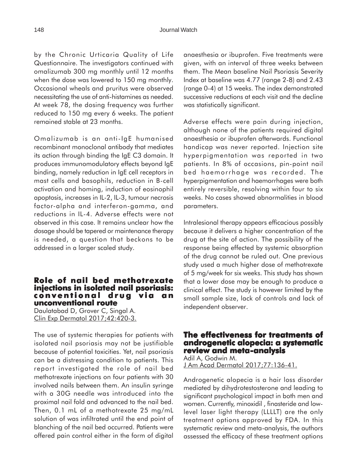by the Chronic Urticaria Quality of Life Questionnaire. The investigators continued with omalizumab 300 mg monthly until 12 months when the dose was lowered to 150 mg monthly. Occasional wheals and pruritus were observed necessitating the use of anti-histamines as needed. At week 78, the dosing frequency was further reduced to 150 mg every 6 weeks. The patient remained stable at 23 months.

Omalizumab is an anti-IgE humanised recombinant monoclonal antibody that mediates its action through binding the IgE C3 domain. It produces immunomodulatory effects beyond IgE binding, namely reduction in IgE cell receptors in mast cells and basophils, reduction in B-cell activation and homing, induction of eosinophil apoptosis, increases in IL-2, IL-3, tumour necrosis factor-alpha and interferon-gamma, and reductions in IL-4. Adverse effects were not observed in this case. It remains unclear how the dosage should be tapered or maintenance therapy is needed, a question that beckons to be addressed in a larger scaled study.

#### **Role of nail bed methotrexate injections in isolated nail psoriasis: in isolated psoriasis: conventional drug via an unconventional route**

Daulatabad D, Grover C, Singal A. Clin Exp Dermatol 2017;42:420-3.

The use of systemic therapies for patients with isolated nail psoriasis may not be justifiable because of potential toxicities. Yet, nail psoriasis can be a distressing condition to patients. This report investigated the role of nail bed methotrexate injections on four patients with 30 involved nails between them. An insulin syringe with a 30G needle was introduced into the proximal nail fold and advanced to the nail bed. Then, 0.1 mL of a methotrexate 25 mg/mL solution of was infiltrated until the end point of blanching of the nail bed occurred. Patients were offered pain control either in the form of digital

anaesthesia or ibuprofen. Five treatments were given, with an interval of three weeks between them. The Mean baseline Nail Psoriasis Severity Index at baseline was 4.77 (range 2-8) and 2.43 (range 0-4) at 15 weeks. The index demonstrated successive reductions at each visit and the decline was statistically significant.

Adverse effects were pain during injection, although none of the patients required digital anaesthesia or ibuprofen afterwards. Functional handicap was never reported. Injection site hyperpigmentation was reported in two patients. In 8% of occasions, pin-point nail bed haemorrhage was recorded. The hyperpigmentation and haemorrhages were both entirely reversible, resolving within four to six weeks. No cases showed abnormalities in blood parameters.

Intralesional therapy appears efficacious possibly because it delivers a higher concentration of the drug at the site of action. The possibility of the response being effected by systemic absorption of the drug cannot be ruled out. One previous study used a much higher dose of methotrexate of 5 mg/week for six weeks. This study has shown that a lower dose may be enough to produce a clinical effect. The study is however limited by the small sample size, lack of controls and lack of independent observer.

#### **The effectiveness for treatments of effectiveness treatments of androgenetic alopecia: a systematic review and meta-analysis** Adil A, Godwin M.

J Am Acad Dermatol 2017;77:136-41.

Androgenetic alopecia is a hair loss disorder mediated by dihydrotestosterone and leading to significant psychological impact in both men and women. Currently, minoxidil , finasteride and lowlevel laser light therapy (LLLLT) are the only treatment options approved by FDA. In this systematic review and meta-analysis, the authors assessed the efficacy of these treatment options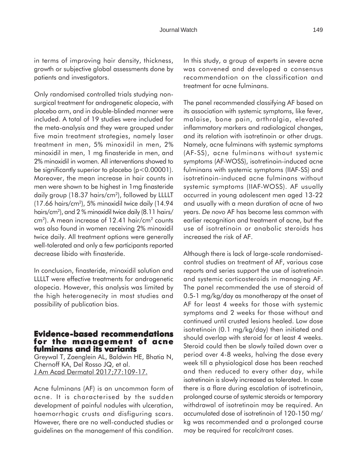in terms of improving hair density, thickness, growth or subjective global assessments done by patients and investigators.

Only randomised controlled trials studying nonsurgical treatment for androgenetic alopecia, with placebo arm, and in double-blinded manner were included. A total of 19 studies were included for the meta-analysis and they were grouped under five main treatment strategies, namely laser treatment in men, 5% minoxidil in men, 2% minoxidil in men, 1 mg finasteride in men, and 2% minoxidil in women. All interventions showed to be significantly superior to placebo (p<0.00001). Moreover, the mean increase in hair counts in men were shown to be highest in 1mg finasteride daily group (18.37 hairs/cm2), followed by LLLLT (17.66 hairs/cm2), 5% minoxidil twice daily (14.94 hairs/cm2 ), and 2 % minoxidil twice daily (8.11 hairs/  $cm<sup>2</sup>$ ). A mean increase of 12.41 hair/cm<sup>2</sup> counts was also found in women receiving 2% minoxidil twice daily. All treatment options were generally well-tolerated and only a few participants reported decrease libido with finasteride.

In conclusion, finasteride, minoxidil solution and LLLLT were effective treatments for androgenetic alopecia. However, this analysis was limited by the high heterogenecity in most studies and possibility of publication bias.

#### **Evidence-based recommendations for the management of acne fulminans and its variants**

Greywal T, Zaenglein AL, Baldwin HE, Bhatia N, Chernoff KA, Del Rosso JQ, et al. J Am Acad Dermatol 2017;77:109-17.

Acne fulminans (AF) is an uncommon form of acne. It is characterised by the sudden development of painful nodules with ulceration, haemorrhagic crusts and disfiguring scars. However, there are no well-conducted studies or guidelines on the management of this condition. In this study, a group of experts in severe acne was convened and developed a consensus recommendation on the classification and treatment for acne fulminans.

The panel recommended classifying AF based on its association with systemic symptoms, like fever, malaise, bone pain, arthralgia, elevated inflammatory markers and radiological changes, and its relation with isotretinoin or other drugs. Namely, acne fulminans with systemic symptoms (AF-SS), acne fulminans without systemic symptoms (AF-WOSS), isotretinoin-induced acne fulminans with systemic symptoms (IIAF-SS) and isotretinoin-induced acne fulminans without systemic symptoms (IIAF-WOSS). AF usually occurred in young adolescent men aged 13-22 and usually with a mean duration of acne of two years. *De novo* AF has become less common with earlier recognition and treatment of acne, but the use of isotretinoin or anabolic steroids has increased the risk of AF.

Although there is lack of large-scale randomisedcontrol studies on treatment of AF, various case reports and series support the use of isotretinoin and systemic corticosteroids in managing AF. The panel recommended the use of steroid of 0.5-1 mg/kg/day as monotherapy at the onset of AF for least 4 weeks for those with systemic symptoms and 2 weeks for those without and continued until crusted lesions healed. Low dose isotretinoin (0.1 mg/kg/day) then initiated and should overlap with steroid for at least 4 weeks. Steroid could then be slowly tailed down over a period over 4-8 weeks, halving the dose every week till a physiological dose has been reached and then reduced to every other day, while isotretinoin is slowly increased as tolerated. In case there is a flare during escalation of isotretinoin, prolonged course of systemic steroids or temporary withdrawal of isotretinoin may be required. An accumulated dose of isotretinoin of 120-150 mg/ kg was recommended and a prolonged course may be required for recalcitrant cases.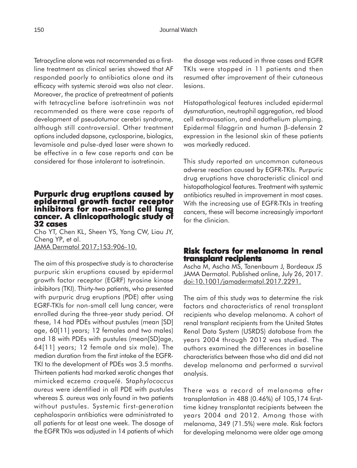Tetracycline alone was not recommended as a firstline treatment as clinical series showed that AF responded poorly to antibiotics alone and its efficacy with systemic steroid was also not clear. Moreover, the practice of pretreatment of patients with tetracycline before isotretinoin was not recommended as there were case reports of development of pseudotumor cerebri syndrome, although still controversial. Other treatment options included dapsone, cyclosporine, biologics, levamisole and pulse-dyed laser were shown to be effective in a few case reports and can be considered for those intolerant to isotretinoin.

## **Purpuric drug eruptions caused by epidermal growth factor receptor inhibitors for non-small cell lung cancer. A clinicopathologic study of A of 32 cases**

Cho YT, Chen KL, Sheen YS, Yang CW, Liau JY, Cheng YP, et al. JAMA Dermatol 2017;153:906-10.

The aim of this prospective study is to characterise purpuric skin eruptions caused by epidermal growth factor receptor (EGRF) tyrosine kinase inbibitors (TKI). Thirty-two patients, who presented with purpuric drug eruptions (PDE) after using EGRF-TKIs for non-small cell lung cancer, were enrolled during the three-year study period. Of these, 14 had PDEs without pustules (mean [SD] age, 60[11] years; 12 females and two males) and 18 with PDEs with pustules (mean[SD]age, 64[11] years; 12 female and six male). The median duration from the first intake of the EGFR-TKI to the development of PDEs was 3.5 months. Thirteen patients had marked xerotic changes that mimicked eczema *craquelé*. S*taphylococcus aureus* were identified in all PDE with pustules whereas *S. aureus* was only found in two patients without pustules. Systemic first-generation cephalosporin antibiotics were administrated to all patients for at least one week. The dosage of the EGFR TKIs was adjusted in 14 patients of which

the dosage was reduced in three cases and EGFR TKIs were stopped in 11 patients and then resumed after improvement of their cutaneous lesions.

Histopathological features included epidermal dysmaturation, neutrophil aggregation, red blood cell extravasation, and endothelium plumping. Epidermal filaggrin and human β-defensin 2 expression in the lesional skin of these patients was markedly reduced.

This study reported an uncommon cutaneous adverse reaction caused by EGFR-TKIs. Purpuric drug eruptions have characteristic clinical and histopathological features. Treatment with systemic antibiotics resulted in improvement in most cases. With the increasing use of EGFR-TKIs in treating cancers, these will become increasingly important for the clinician.

### **Risk factors for melanoma in renal Risk factors melanoma renal transplant recipients**

Ascha M, Ascha MS, Tanenbaum J, Bordeaux JS JAMA Dermatol. Published online, July 26, 2017. doi:10.1001/jamadermatol.2017.2291.

The aim of this study was to determine the risk factors and characteristics of renal transplant recipients who develop melanoma. A cohort of renal transplant recipients from the United States Renal Data System (USRDS) database from the years 2004 through 2012 was studied. The authors examined the differences in baseline characteristics between those who did and did not develop melanoma and performed a survival analysis.

There was a record of melanoma after transplantation in 488 (0.46%) of 105,174 firsttime kidney transplantat recipients between the years 2004 and 2012. Among those with melanoma, 349 (71.5%) were male. Risk factors for developing melanoma were older age among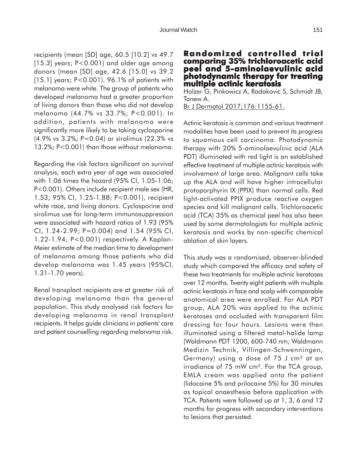recipients (mean [SD] age, 60.5 [10.2] vs 49.7 [15.3] years; P<0.001) and older age among donors (mean [SD] age, 42.6 [15.0] vs 39.2 [15.1] years; P<0.001). 96.1% of patients with melanoma were white. The group of patients who developed melanoma had a greater proportion of living donors than those who did not develop melanoma (44.7% vs 33.7%; P<0.001). In addition, patients with melanoma were significantly more likely to be taking cyclosporine (4.9% vs 3.2%; P=0.04) or sirolimus (22.3% vs 13.2%; P<0.001) than those without melanoma.

Regarding the risk factors significant on survival analysis, each extra year of age was associated with 1.06 times the hazard (95% CI, 1.05-1.06; P<0.001). Others include recipient male sex (HR, 1.53; 95% CI, 1.25-1.88; P<0.001), recipient white race, and living donors. Cyclosporine and sirolimus use for long-term immunosuppression were associated with hazard ratios of 1.93 (95% CI, 1.24-2.99; P=0.004) and 1.54 (95% CI, 1.22-1.94; P<0.001) respectively. A Kaplan-Meier estimate of the median time to development of melanoma among those patients who did develop melanoma was 1.45 years (95%CI, 1.31-1.70 years).

Renal transplant recipients are at greater risk of developing melanoma than the general population. This study analysed risk factors for developing melanoma in renal transplant recipients. It helps guide clinicians in patients' care and patient counselling regarding melanoma risk.

**Randomized controlled trial controlled trial comparing 35% trichloroacetic acid peel and 5-aminolaevulinic acid photodynamic therapy for treating multiple actinic keratosis**

Holzer G, Pinkowicz A, Radakovic S, Schmidt JB, Tanew A. Br J Dermatol 2017;176:1155-61.

Actinic keratosis is common and various treatment modalities have been used to prevent its progress to squamous cell carcinoma. Photodynamic therapy with 20% 5-aminolaevulinic acid (ALA PDT) illuminated with red light is an established effective treatment of multiple actinic keratosis with involvement of large area. Malignant cells take up the ALA and will have higher intracellular protoporphyrin IX (PPIX) than normal cells. Red light-activated PPIX produce reactive oxygen species and kill malignant cells. Trichloroacetic acid (TCA) 35% as chemical peel has also been used by some dermatologists for multiple actinic keratosis and works by non-specific chemical ablation of skin layers.

This study was a randomised, observer-blinded study which compared the efficacy and safety of these two treatments for multiple actinic keratoses over 12 months. Twenty eight patients with multiple actinic keratosis in face and scalp with comparable anatomical area were enrolled. For ALA PDT group, ALA 20% was applied to the actinic keratoses and occluded with transparent film dressing for four hours. Lesions were then illuminated using a filtered metal-halide lamp (Waldmann PDT 1200, 600-740 nm; Waldmann Medizin Technik, Villingen-Schwenningen, Germany) using a dose of 75 J cm² at an irradiance of 75 mW cm². For the TCA group, EMLA cream was applied onto the patient (lidocaine 5% and prilocaine 5%) for 30 minutes as topical anaesthesia before application with TCA. Patients were followed up at 1, 3, 6 and 12 months for progress with secondary interventions to lesions that persisted.